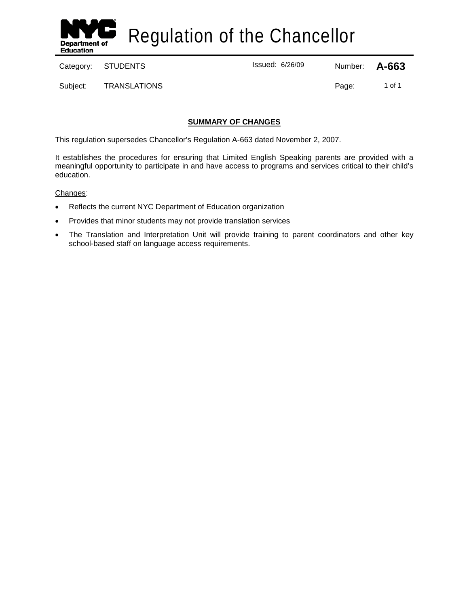

Regulation of the Chancellor

Category: <u>STUDENTS</u> Category: **A-663** 

Subject: TRANSLATIONS Page: 1 of 1

# **SUMMARY OF CHANGES**

This regulation supersedes Chancellor's Regulation A-663 dated November 2, 2007.

It establishes the procedures for ensuring that Limited English Speaking parents are provided with a meaningful opportunity to participate in and have access to programs and services critical to their child's education.

Changes:

- Reflects the current NYC Department of Education organization
- Provides that minor students may not provide translation services
- The Translation and Interpretation Unit will provide training to parent coordinators and other key school-based staff on language access requirements.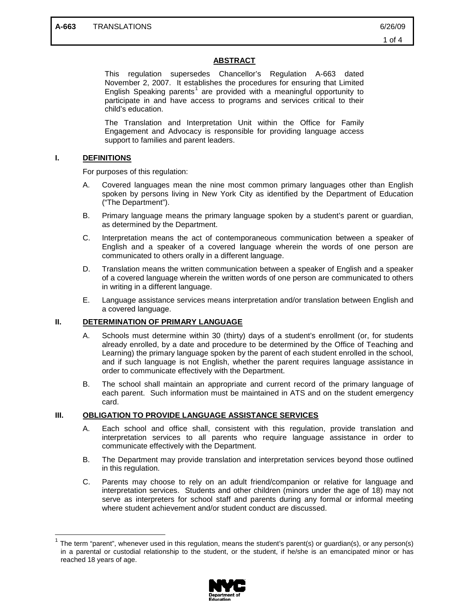### **ABSTRACT**

This regulation supersedes Chancellor's Regulation A-663 dated November 2, 2007. It establishes the procedures for ensuring that Limited English Speaking parents<sup>[1](#page-1-0)</sup> are provided with a meaningful opportunity to participate in and have access to programs and services critical to their child's education.

The Translation and Interpretation Unit within the Office for Family Engagement and Advocacy is responsible for providing language access support to families and parent leaders.

#### **I. DEFINITIONS**

For purposes of this regulation:

- A. Covered languages mean the nine most common primary languages other than English spoken by persons living in New York City as identified by the Department of Education ("The Department").
- B. Primary language means the primary language spoken by a student's parent or guardian, as determined by the Department.
- C. Interpretation means the act of contemporaneous communication between a speaker of English and a speaker of a covered language wherein the words of one person are communicated to others orally in a different language.
- D. Translation means the written communication between a speaker of English and a speaker of a covered language wherein the written words of one person are communicated to others in writing in a different language.
- E. Language assistance services means interpretation and/or translation between English and a covered language.

## **II. DETERMINATION OF PRIMARY LANGUAGE**

- A. Schools must determine within 30 (thirty) days of a student's enrollment (or, for students already enrolled, by a date and procedure to be determined by the Office of Teaching and Learning) the primary language spoken by the parent of each student enrolled in the school, and if such language is not English, whether the parent requires language assistance in order to communicate effectively with the Department.
- B. The school shall maintain an appropriate and current record of the primary language of each parent. Such information must be maintained in ATS and on the student emergency card.

#### **III. OBLIGATION TO PROVIDE LANGUAGE ASSISTANCE SERVICES**

- A. Each school and office shall, consistent with this regulation, provide translation and interpretation services to all parents who require language assistance in order to communicate effectively with the Department.
- B. The Department may provide translation and interpretation services beyond those outlined in this regulation.
- C. Parents may choose to rely on an adult friend/companion or relative for language and interpretation services. Students and other children (minors under the age of 18) may not serve as interpreters for school staff and parents during any formal or informal meeting where student achievement and/or student conduct are discussed.

<span id="page-1-0"></span>The term "parent", whenever used in this regulation, means the student's parent(s) or guardian(s), or any person(s) in a parental or custodial relationship to the student, or the student, if he/she is an emancipated minor or has reached 18 years of age.

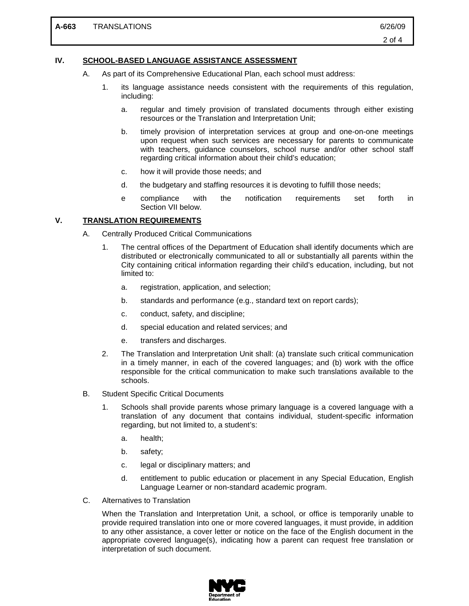### **IV. SCHOOL-BASED LANGUAGE ASSISTANCE ASSESSMENT**

- A. As part of its Comprehensive Educational Plan, each school must address:
	- 1. its language assistance needs consistent with the requirements of this regulation, including:
		- a. regular and timely provision of translated documents through either existing resources or the Translation and Interpretation Unit;
		- b. timely provision of interpretation services at group and one-on-one meetings upon request when such services are necessary for parents to communicate with teachers, guidance counselors, school nurse and/or other school staff regarding critical information about their child's education;
		- c. how it will provide those needs; and
		- d. the budgetary and staffing resources it is devoting to fulfill those needs;
		- e compliance with the notification requirements set forth in Section VII below.

### **V. TRANSLATION REQUIREMENTS**

- A. Centrally Produced Critical Communications
	- 1. The central offices of the Department of Education shall identify documents which are distributed or electronically communicated to all or substantially all parents within the City containing critical information regarding their child's education, including, but not limited to:
		- a. registration, application, and selection;
		- b. standards and performance (e.g., standard text on report cards);
		- c. conduct, safety, and discipline;
		- d. special education and related services; and
		- e. transfers and discharges.
	- 2. The Translation and Interpretation Unit shall: (a) translate such critical communication in a timely manner, in each of the covered languages; and (b) work with the office responsible for the critical communication to make such translations available to the schools.
- B. Student Specific Critical Documents
	- 1. Schools shall provide parents whose primary language is a covered language with a translation of any document that contains individual, student-specific information regarding, but not limited to, a student's:
		- a. health;
		- b. safety;
		- c. legal or disciplinary matters; and
		- d. entitlement to public education or placement in any Special Education, English Language Learner or non-standard academic program.
- C. Alternatives to Translation

When the Translation and Interpretation Unit, a school, or office is temporarily unable to provide required translation into one or more covered languages, it must provide, in addition to any other assistance, a cover letter or notice on the face of the English document in the appropriate covered language(s), indicating how a parent can request free translation or interpretation of such document.

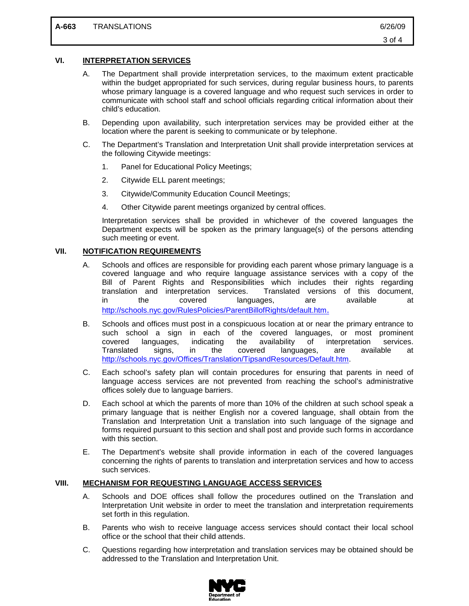### **VI. INTERPRETATION SERVICES**

- A. The Department shall provide interpretation services, to the maximum extent practicable within the budget appropriated for such services, during regular business hours, to parents whose primary language is a covered language and who request such services in order to communicate with school staff and school officials regarding critical information about their child's education.
- B. Depending upon availability, such interpretation services may be provided either at the location where the parent is seeking to communicate or by telephone.
- C. The Department's Translation and Interpretation Unit shall provide interpretation services at the following Citywide meetings:
	- 1. Panel for Educational Policy Meetings;
	- 2. Citywide ELL parent meetings;
	- 3. Citywide/Community Education Council Meetings;
	- 4. Other Citywide parent meetings organized by central offices.

Interpretation services shall be provided in whichever of the covered languages the Department expects will be spoken as the primary language(s) of the persons attending such meeting or event.

### **VII. NOTIFICATION REQUIREMENTS**

- A. Schools and offices are responsible for providing each parent whose primary language is a covered language and who require language assistance services with a copy of the Bill of Parent Rights and Responsibilities which includes their rights regarding translation and interpretation services. Translated versions of this document, Translated versions of this document, in the covered languages, are available at [http://schools.nyc.gov/RulesPolicies/ParentBillofRights/default.htm.](http://schools.nyc.gov/RulesPolicies/ParentBillofRights/default.htm)
- B. Schools and offices must post in a conspicuous location at or near the primary entrance to such school a sign in each of the covered languages, or most prominent covered languages, indicating the availability of interpretation services. covered languages, indicating the availability of interpretation services. Translated signs, in the covered languages, are available at [http://schools.nyc.gov/Offices/Translation/TipsandResources/Default.htm.](http://schools.nyc.gov/Offices/Translation/TipsandResources/Default.htm)
- C. Each school's safety plan will contain procedures for ensuring that parents in need of language access services are not prevented from reaching the school's administrative offices solely due to language barriers.
- D. Each school at which the parents of more than 10% of the children at such school speak a primary language that is neither English nor a covered language, shall obtain from the Translation and Interpretation Unit a translation into such language of the signage and forms required pursuant to this section and shall post and provide such forms in accordance with this section.
- E. The Department's website shall provide information in each of the covered languages concerning the rights of parents to translation and interpretation services and how to access such services.

#### **VIII. MECHANISM FOR REQUESTING LANGUAGE ACCESS SERVICES**

- A. Schools and DOE offices shall follow the procedures outlined on the Translation and Interpretation Unit website in order to meet the translation and interpretation requirements set forth in this regulation.
- B. Parents who wish to receive language access services should contact their local school office or the school that their child attends.
- C. Questions regarding how interpretation and translation services may be obtained should be addressed to the Translation and Interpretation Unit.